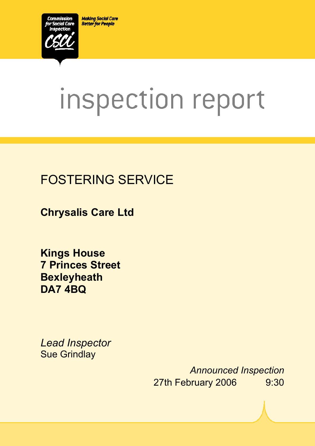**Making Social Care Better for People** 



# inspection report

 $X_1$ 10029.doc Version 1.40 Page 1.40 Page 1.40 Page 1.40 Page 1.40 Page 1.40 Page 1.40 Page 1.40 Page 1.40 Page 1.40 Page 1.40 Page 1.40 Page 1.40 Page 1.40 Page 1.40 Page 1.40 Page 1.40 Page 1.40 Page 1.40 Page 1.40 Pag

# FOSTERING SERVICE

**Chrysalis Care Ltd** 

**Kings House 7 Princes Street Bexleyheath DA7 4BQ** 

*Lead Inspector*  Sue Grindlay

> *Announced Inspection* 27th February 2006 9:30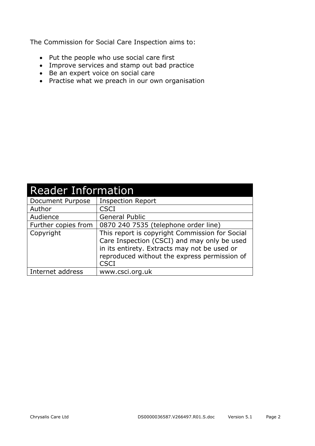The Commission for Social Care Inspection aims to:

- Put the people who use social care first
- Improve services and stamp out bad practice
- Be an expert voice on social care
- Practise what we preach in our own organisation

| <b>Reader Information</b> |                                                                                                                                                                                                              |  |
|---------------------------|--------------------------------------------------------------------------------------------------------------------------------------------------------------------------------------------------------------|--|
| Document Purpose          | <b>Inspection Report</b>                                                                                                                                                                                     |  |
| Author                    | <b>CSCI</b>                                                                                                                                                                                                  |  |
| Audience                  | <b>General Public</b>                                                                                                                                                                                        |  |
| Further copies from       | 0870 240 7535 (telephone order line)                                                                                                                                                                         |  |
| Copyright                 | This report is copyright Commission for Social<br>Care Inspection (CSCI) and may only be used<br>in its entirety. Extracts may not be used or<br>reproduced without the express permission of<br><b>CSCI</b> |  |
| Internet address          | www.csci.org.uk                                                                                                                                                                                              |  |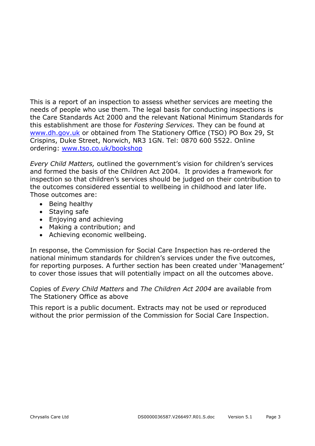This is a report of an inspection to assess whether services are meeting the needs of people who use them. The legal basis for conducting inspections is the Care Standards Act 2000 and the relevant National Minimum Standards for this establishment are those for *Fostering Services.* They can be found at www.dh.gov.uk or obtained from The Stationery Office (TSO) PO Box 29, St Crispins, Duke Street, Norwich, NR3 1GN. Tel: 0870 600 5522. Online ordering: www.tso.co.uk/bookshop

*Every Child Matters,* outlined the government's vision for children's services and formed the basis of the Children Act 2004. It provides a framework for inspection so that children's services should be judged on their contribution to the outcomes considered essential to wellbeing in childhood and later life. Those outcomes are:

- Being healthy
- Staying safe
- Enjoying and achieving
- Making a contribution; and
- Achieving economic wellbeing.

In response, the Commission for Social Care Inspection has re-ordered the national minimum standards for children's services under the five outcomes, for reporting purposes. A further section has been created under 'Management' to cover those issues that will potentially impact on all the outcomes above.

Copies of *Every Child Matters* and *The Children Act 2004* are available from The Stationery Office as above

This report is a public document. Extracts may not be used or reproduced without the prior permission of the Commission for Social Care Inspection.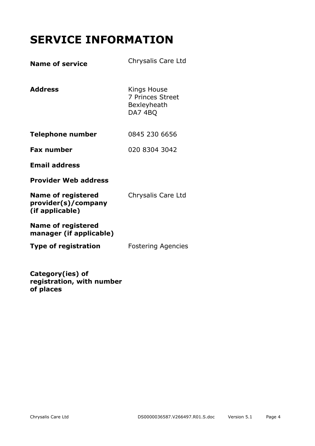# **SERVICE INFORMATION**

| <b>Name of service</b>                                              | Chrysalis Care Ltd                                        |
|---------------------------------------------------------------------|-----------------------------------------------------------|
| <b>Address</b>                                                      | Kings House<br>7 Princes Street<br>Bexleyheath<br>DA7 4BQ |
| <b>Telephone number</b>                                             | 0845 230 6656                                             |
| <b>Fax number</b>                                                   | 020 8304 3042                                             |
| <b>Email address</b>                                                |                                                           |
| <b>Provider Web address</b>                                         |                                                           |
| <b>Name of registered</b><br>provider(s)/company<br>(if applicable) | Chrysalis Care Ltd                                        |
| <b>Name of registered</b><br>manager (if applicable)                |                                                           |
| <b>Type of registration</b>                                         | <b>Fostering Agencies</b>                                 |
| $\mathbf{r}$ $\mathbf{r}$                                           |                                                           |

**Category(ies) of registration, with number of places**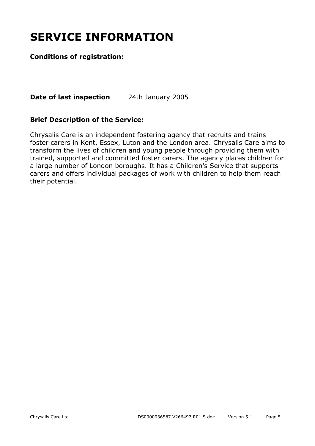# **SERVICE INFORMATION**

#### **Conditions of registration:**

**Date of last inspection** 24th January 2005

#### **Brief Description of the Service:**

Chrysalis Care is an independent fostering agency that recruits and trains foster carers in Kent, Essex, Luton and the London area. Chrysalis Care aims to transform the lives of children and young people through providing them with trained, supported and committed foster carers. The agency places children for a large number of London boroughs. It has a Children's Service that supports carers and offers individual packages of work with children to help them reach their potential.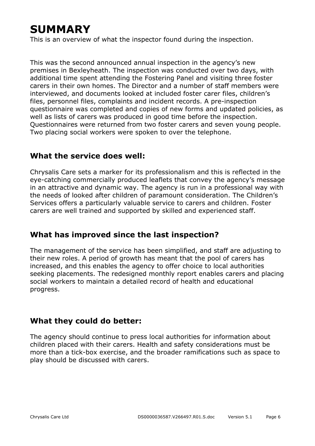# **SUMMARY**

This is an overview of what the inspector found during the inspection.

This was the second announced annual inspection in the agency's new premises in Bexleyheath. The inspection was conducted over two days, with additional time spent attending the Fostering Panel and visiting three foster carers in their own homes. The Director and a number of staff members were interviewed, and documents looked at included foster carer files, children's files, personnel files, complaints and incident records. A pre-inspection questionnaire was completed and copies of new forms and updated policies, as well as lists of carers was produced in good time before the inspection. Questionnaires were returned from two foster carers and seven young people. Two placing social workers were spoken to over the telephone.

#### **What the service does well:**

Chrysalis Care sets a marker for its professionalism and this is reflected in the eye-catching commercially produced leaflets that convey the agency's message in an attractive and dynamic way. The agency is run in a professional way with the needs of looked after children of paramount consideration. The Children's Services offers a particularly valuable service to carers and children. Foster carers are well trained and supported by skilled and experienced staff.

#### **What has improved since the last inspection?**

The management of the service has been simplified, and staff are adjusting to their new roles. A period of growth has meant that the pool of carers has increased, and this enables the agency to offer choice to local authorities seeking placements. The redesigned monthly report enables carers and placing social workers to maintain a detailed record of health and educational progress.

#### **What they could do better:**

The agency should continue to press local authorities for information about children placed with their carers. Health and safety considerations must be more than a tick-box exercise, and the broader ramifications such as space to play should be discussed with carers.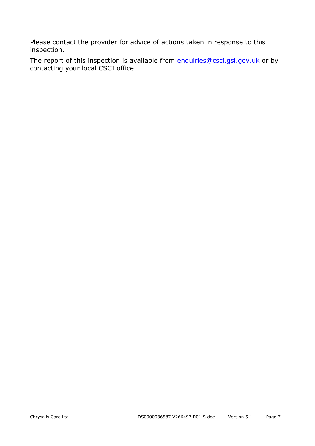Please contact the provider for advice of actions taken in response to this inspection.

The report of this inspection is available from enquiries@csci.gsi.gov.uk or by contacting your local CSCI office.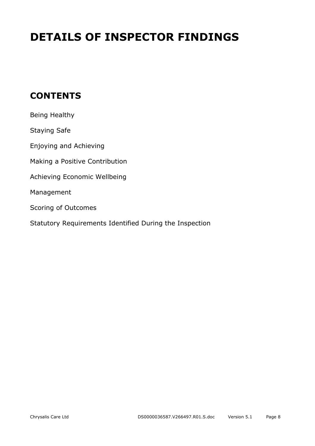# **DETAILS OF INSPECTOR FINDINGS**

## **CONTENTS**

| Being Healthy                                           |
|---------------------------------------------------------|
| <b>Staying Safe</b>                                     |
| Enjoying and Achieving                                  |
| Making a Positive Contribution                          |
| Achieving Economic Wellbeing                            |
| Management                                              |
| Scoring of Outcomes                                     |
| Statutory Requirements Identified During the Inspection |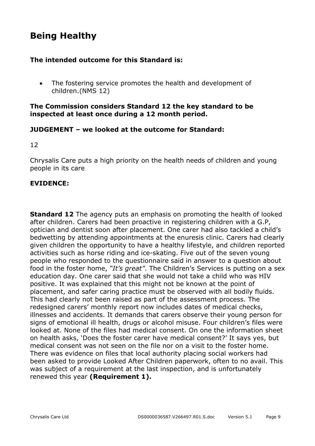## **Being Healthy**

#### **The intended outcome for this Standard is:**

• The fostering service promotes the health and development of children.(NMS 12)

#### **The Commission considers Standard 12 the key standard to be inspected at least once during a 12 month period.**

#### **JUDGEMENT – we looked at the outcome for Standard:**

12

Chrysalis Care puts a high priority on the health needs of children and young people in its care

#### **EVIDENCE:**

**Standard 12** The agency puts an emphasis on promoting the health of looked after children. Carers had been proactive in registering children with a G.P, optician and dentist soon after placement. One carer had also tackled a child's bedwetting by attending appointments at the enuresis clinic. Carers had clearly given children the opportunity to have a healthy lifestyle, and children reported activities such as horse riding and ice-skating. Five out of the seven young people who responded to the questionnaire said in answer to a question about food in the foster home, *"It's great"*. The Children's Services is putting on a sex education day. One carer said that she would not take a child who was HIV positive. It was explained that this might not be known at the point of placement, and safer caring practice must be observed with all bodily fluids. This had clearly not been raised as part of the assessment process. The redesigned carers' monthly report now includes dates of medical checks, illnesses and accidents. It demands that carers observe their young person for signs of emotional ill health, drugs or alcohol misuse. Four children's files were looked at. None of the files had medical consent. On one the information sheet on health asks, 'Does the foster carer have medical consent?' It says yes, but medical consent was not seen on the file nor on a visit to the foster home. There was evidence on files that local authority placing social workers had been asked to provide Looked After Children paperwork, often to no avail. This was subject of a requirement at the last inspection, and is unfortunately renewed this year **(Requirement 1).**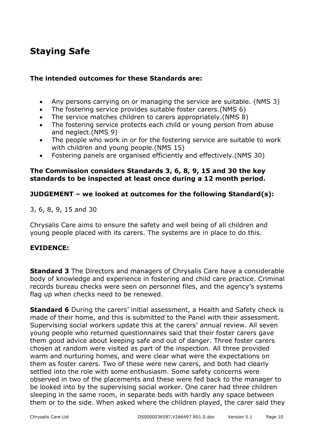## **Staying Safe**

#### **The intended outcomes for these Standards are:**

- Any persons carrying on or managing the service are suitable. (NMS 3)
- The fostering service provides suitable foster carers.(NMS 6)
- The service matches children to carers appropriately.(NMS 8)
- The fostering service protects each child or young person from abuse and neglect.(NMS 9)
- The people who work in or for the fostering service are suitable to work with children and young people.(NMS 15)
- Fostering panels are organised efficiently and effectively.(NMS 30)

#### **The Commission considers Standards 3, 6, 8, 9, 15 and 30 the key standards to be inspected at least once during a 12 month period.**

#### **JUDGEMENT – we looked at outcomes for the following Standard(s):**

#### 3, 6, 8, 9, 15 and 30

Chrysalis Care aims to ensure the safety and well being of all children and young people placed with its carers. The systems are in place to do this.

#### **EVIDENCE:**

**Standard 3** The Directors and managers of Chrysalis Care have a considerable body of knowledge and experience in fostering and child care practice. Criminal records bureau checks were seen on personnel files, and the agency's systems flag up when checks need to be renewed.

**Standard 6** During the carers' initial assessment, a Health and Safety check is made of their home, and this is submitted to the Panel with their assessment. Supervising social workers update this at the carers' annual review. All seven young people who returned questionnaires said that their foster carers gave them good advice about keeping safe and out of danger. Three foster carers chosen at random were visited as part of the inspection. All three provided warm and nurturing homes, and were clear what were the expectations on them as foster carers. Two of these were new carers, and both had clearly settled into the role with some enthusiasm. Some safety concerns were observed in two of the placements and these were fed back to the manager to be looked into by the supervising social worker. One carer had three children sleeping in the same room, in separate beds with hardly any space between them or to the side. When asked where the children played, the carer said they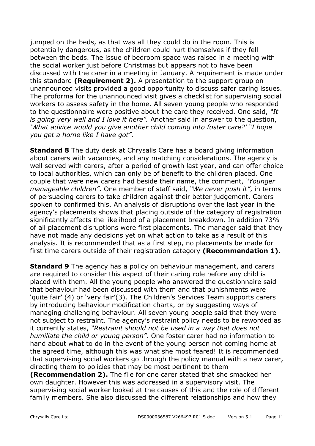jumped on the beds, as that was all they could do in the room. This is potentially dangerous, as the children could hurt themselves if they fell between the beds. The issue of bedroom space was raised in a meeting with the social worker just before Christmas but appears not to have been discussed with the carer in a meeting in January. A requirement is made under this standard **(Requirement 2).** A presentation to the support group on unannounced visits provided a good opportunity to discuss safer caring issues. The proforma for the unannounced visit gives a checklist for supervising social workers to assess safety in the home. All seven young people who responded to the questionnaire were positive about the care they received. One said, *"It is going very well and I love it here".* Another said in answer to the question, *'What advice would you give another child coming into foster care?' "I hope you get a home like I have got".* 

**Standard 8** The duty desk at Chrysalis Care has a board giving information about carers with vacancies, and any matching considerations. The agency is well served with carers, after a period of growth last year, and can offer choice to local authorities, which can only be of benefit to the children placed. One couple that were new carers had beside their name, the comment, *"Younger manageable children"*. One member of staff said, *"We never push it"*, in terms of persuading carers to take children against their better judgement. Carers spoken to confirmed this. An analysis of disruptions over the last year in the agency's placements shows that placing outside of the category of registration significantly affects the likelihood of a placement breakdown. In addition 73% of all placement disruptions were first placements. The manager said that they have not made any decisions yet on what action to take as a result of this analysis. It is recommended that as a first step, no placements be made for first time carers outside of their registration category **(Recommendation 1).**

**Standard 9** The agency has a policy on behaviour management, and carers are required to consider this aspect of their caring role before any child is placed with them. All the young people who answered the questionnaire said that behaviour had been discussed with them and that punishments were 'quite fair' (4) or 'very fair'(3). The Children's Services Team supports carers by introducing behaviour modification charts, or by suggesting ways of managing challenging behaviour. All seven young people said that they were not subject to restraint. The agency's restraint policy needs to be reworded as it currently states, *"Restraint should not be used in a way that does not humiliate the child or young person"*. One foster carer had no information to hand about what to do in the event of the young person not coming home at the agreed time, although this was what she most feared! It is recommended that supervising social workers go through the policy manual with a new carer, directing them to policies that may be most pertinent to them

**(Recommendation 2).** The file for one carer stated that she smacked her own daughter. However this was addressed in a supervisory visit. The supervising social worker looked at the causes of this and the role of different family members. She also discussed the different relationships and how they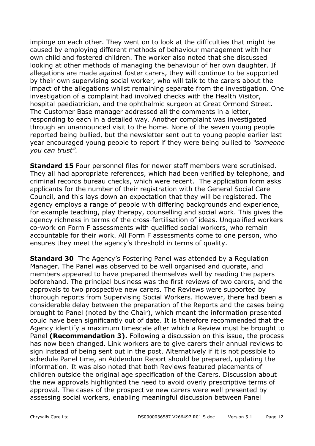impinge on each other. They went on to look at the difficulties that might be caused by employing different methods of behaviour management with her own child and fostered children. The worker also noted that she discussed looking at other methods of managing the behaviour of her own daughter. If allegations are made against foster carers, they will continue to be supported by their own supervising social worker, who will talk to the carers about the impact of the allegations whilst remaining separate from the investigation. One investigation of a complaint had involved checks with the Health Visitor, hospital paediatrician, and the ophthalmic surgeon at Great Ormond Street. The Customer Base manager addressed all the comments in a letter, responding to each in a detailed way. Another complaint was investigated through an unannounced visit to the home. None of the seven young people reported being bullied, but the newsletter sent out to young people earlier last year encouraged young people to report if they were being bullied to *"someone you can trust".* 

**Standard 15** Four personnel files for newer staff members were scrutinised. They all had appropriate references, which had been verified by telephone, and criminal records bureau checks, which were recent. The application form asks applicants for the number of their registration with the General Social Care Council, and this lays down an expectation that they will be registered. The agency employs a range of people with differing backgrounds and experience, for example teaching, play therapy, counselling and social work. This gives the agency richness in terms of the cross-fertilisation of ideas. Unqualified workers co-work on Form F assessments with qualified social workers, who remain accountable for their work. All Form F assessments come to one person, who ensures they meet the agency's threshold in terms of quality.

**Standard 30** The Agency's Fostering Panel was attended by a Regulation Manager. The Panel was observed to be well organised and quorate, and members appeared to have prepared themselves well by reading the papers beforehand. The principal business was the first reviews of two carers, and the approvals to two prospective new carers. The Reviews were supported by thorough reports from Supervising Social Workers. However, there had been a considerable delay between the preparation of the Reports and the cases being brought to Panel (noted by the Chair), which meant the information presented could have been significantly out of date. It is therefore recommended that the Agency identify a maximum timescale after which a Review must be brought to Panel **(Recommendation 3).** Following a discussion on this issue, the process has now been changed. Link workers are to give carers their annual reviews to sign instead of being sent out in the post. Alternatively if it is not possible to schedule Panel time, an Addendum Report should be prepared, updating the information. It was also noted that both Reviews featured placements of children outside the original age specification of the Carers. Discussion about the new approvals highlighted the need to avoid overly prescriptive terms of approval. The cases of the prospective new carers were well presented by assessing social workers, enabling meaningful discussion between Panel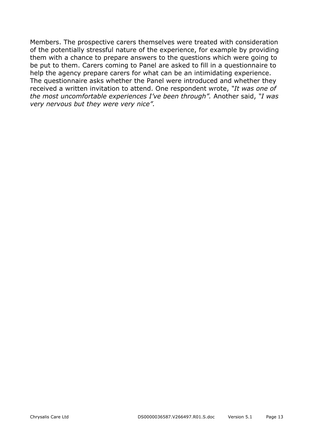Members. The prospective carers themselves were treated with consideration of the potentially stressful nature of the experience, for example by providing them with a chance to prepare answers to the questions which were going to be put to them. Carers coming to Panel are asked to fill in a questionnaire to help the agency prepare carers for what can be an intimidating experience. The questionnaire asks whether the Panel were introduced and whether they received a written invitation to attend. One respondent wrote, *"It was one of the most uncomfortable experiences I've been through".* Another said, *"I was very nervous but they were very nice".*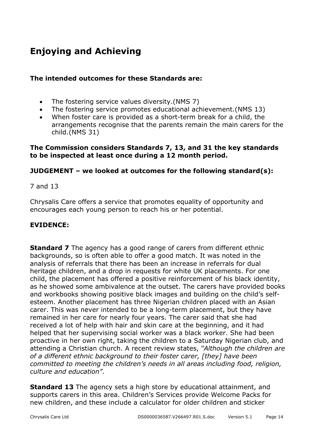# **Enjoying and Achieving**

#### **The intended outcomes for these Standards are:**

- The fostering service values diversity.(NMS 7)
- The fostering service promotes educational achievement.(NMS 13)
- When foster care is provided as a short-term break for a child, the arrangements recognise that the parents remain the main carers for the child.(NMS 31)

#### **The Commission considers Standards 7, 13, and 31 the key standards to be inspected at least once during a 12 month period.**

#### **JUDGEMENT – we looked at outcomes for the following standard(s):**

#### 7 and 13

Chrysalis Care offers a service that promotes equality of opportunity and encourages each young person to reach his or her potential.

#### **EVIDENCE:**

**Standard 7** The agency has a good range of carers from different ethnic backgrounds, so is often able to offer a good match. It was noted in the analysis of referrals that there has been an increase in referrals for dual heritage children, and a drop in requests for white UK placements. For one child, the placement has offered a positive reinforcement of his black identity, as he showed some ambivalence at the outset. The carers have provided books and workbooks showing positive black images and building on the child's selfesteem. Another placement has three Nigerian children placed with an Asian carer. This was never intended to be a long-term placement, but they have remained in her care for nearly four years. The carer said that she had received a lot of help with hair and skin care at the beginning, and it had helped that her supervising social worker was a black worker. She had been proactive in her own right, taking the children to a Saturday Nigerian club, and attending a Christian church. A recent review states, *"Although the children are of a different ethnic background to their foster carer, [they] have been committed to meeting the children's needs in all areas including food, religion, culture and education".* 

**Standard 13** The agency sets a high store by educational attainment, and supports carers in this area. Children's Services provide Welcome Packs for new children, and these include a calculator for older children and sticker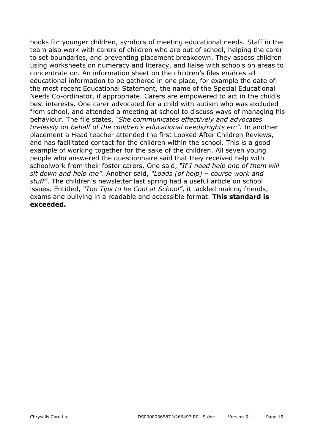books for younger children, symbols of meeting educational needs. Staff in the team also work with carers of children who are out of school, helping the carer to set boundaries, and preventing placement breakdown. They assess children using worksheets on numeracy and literacy, and liaise with schools on areas to concentrate on. An information sheet on the children's files enables all educational information to be gathered in one place, for example the date of the most recent Educational Statement, the name of the Special Educational Needs Co-ordinator, if appropriate. Carers are empowered to act in the child's best interests. One carer advocated for a child with autism who was excluded from school, and attended a meeting at school to discuss ways of managing his behaviour. The file states, *"She communicates effectively and advocates tirelessly on behalf of the children's educational needs/rights etc".* In another placement a Head teacher attended the first Looked After Children Reviews, and has facilitated contact for the children within the school. This is a good example of working together for the sake of the children. All seven young people who answered the questionnaire said that they received help with schoolwork from their foster carers. One said, *"If I need help one of them will sit down and help me"*. Another said, *"Loads [of help] – course work and stuff"*. The children's newsletter last spring had a useful article on school issues. Entitled, *"Top Tips to be Cool at School"*, it tackled making friends, exams and bullying in a readable and accessible format. **This standard is exceeded.**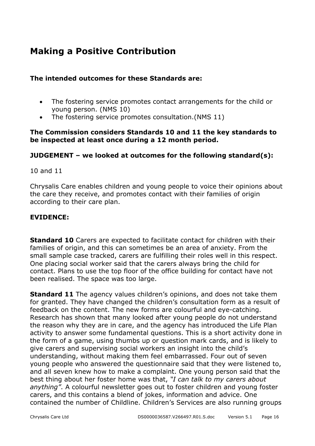## **Making a Positive Contribution**

#### **The intended outcomes for these Standards are:**

- The fostering service promotes contact arrangements for the child or young person. (NMS 10)
- The fostering service promotes consultation.(NMS 11)

#### **The Commission considers Standards 10 and 11 the key standards to be inspected at least once during a 12 month period.**

#### **JUDGEMENT – we looked at outcomes for the following standard(s):**

#### 10 and 11

Chrysalis Care enables children and young people to voice their opinions about the care they receive, and promotes contact with their families of origin according to their care plan.

#### **EVIDENCE:**

**Standard 10** Carers are expected to facilitate contact for children with their families of origin, and this can sometimes be an area of anxiety. From the small sample case tracked, carers are fulfilling their roles well in this respect. One placing social worker said that the carers always bring the child for contact. Plans to use the top floor of the office building for contact have not been realised. The space was too large.

**Standard 11** The agency values children's opinions, and does not take them for granted. They have changed the children's consultation form as a result of feedback on the content. The new forms are colourful and eye-catching. Research has shown that many looked after young people do not understand the reason why they are in care, and the agency has introduced the Life Plan activity to answer some fundamental questions. This is a short activity done in the form of a game, using thumbs up or question mark cards, and is likely to give carers and supervising social workers an insight into the child's understanding, without making them feel embarrassed. Four out of seven young people who answered the questionnaire said that they were listened to, and all seven knew how to make a complaint. One young person said that the best thing about her foster home was that, *"I can talk to my carers about anything"*. A colourful newsletter goes out to foster children and young foster carers, and this contains a blend of jokes, information and advice. One contained the number of Childline. Children's Services are also running groups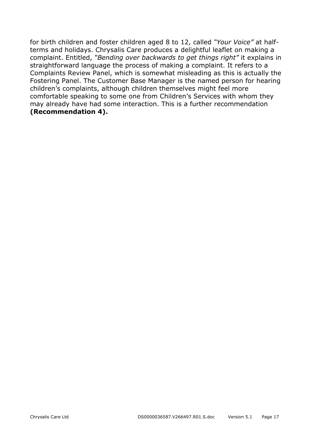for birth children and foster children aged 8 to 12, called *"Your Voice"* at halfterms and holidays. Chrysalis Care produces a delightful leaflet on making a complaint. Entitled, *"Bending over backwards to get things right"* it explains in straightforward language the process of making a complaint. It refers to a Complaints Review Panel, which is somewhat misleading as this is actually the Fostering Panel. The Customer Base Manager is the named person for hearing children's complaints, although children themselves might feel more comfortable speaking to some one from Children's Services with whom they may already have had some interaction. This is a further recommendation **(Recommendation 4).**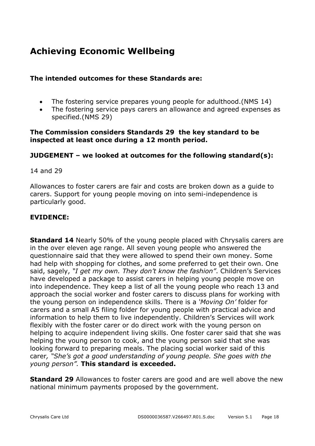## **Achieving Economic Wellbeing**

#### **The intended outcomes for these Standards are:**

- The fostering service prepares young people for adulthood.(NMS 14)
- The fostering service pays carers an allowance and agreed expenses as specified.(NMS 29)

#### **The Commission considers Standards 29 the key standard to be inspected at least once during a 12 month period.**

#### **JUDGEMENT – we looked at outcomes for the following standard(s):**

#### 14 and 29

Allowances to foster carers are fair and costs are broken down as a guide to carers. Support for young people moving on into semi-independence is particularly good.

#### **EVIDENCE:**

**Standard 14** Nearly 50% of the young people placed with Chrysalis carers are in the over eleven age range. All seven young people who answered the questionnaire said that they were allowed to spend their own money. Some had help with shopping for clothes, and some preferred to get their own. One said, sagely, *"I get my own. They don't know the fashion"*. Children's Services have developed a package to assist carers in helping young people move on into independence. They keep a list of all the young people who reach 13 and approach the social worker and foster carers to discuss plans for working with the young person on independence skills. There is a *'Moving On'* folder for carers and a small A5 filing folder for young people with practical advice and information to help them to live independently. Children's Services will work flexibly with the foster carer or do direct work with the young person on helping to acquire independent living skills. One foster carer said that she was helping the young person to cook, and the young person said that she was looking forward to preparing meals. The placing social worker said of this carer*, "She's got a good understanding of young people. She goes with the young person".* **This standard is exceeded.** 

**Standard 29** Allowances to foster carers are good and are well above the new national minimum payments proposed by the government.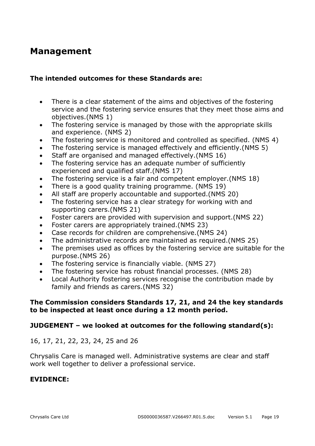### **Management**

#### **The intended outcomes for these Standards are:**

- There is a clear statement of the aims and objectives of the fostering service and the fostering service ensures that they meet those aims and objectives.(NMS 1)
- The fostering service is managed by those with the appropriate skills and experience. (NMS 2)
- The fostering service is monitored and controlled as specified. (NMS 4)
- The fostering service is managed effectively and efficiently.(NMS 5)
- Staff are organised and managed effectively.(NMS 16)
- The fostering service has an adequate number of sufficiently experienced and qualified staff.(NMS 17)
- The fostering service is a fair and competent employer.(NMS 18)
- There is a good quality training programme. (NMS 19)
- All staff are properly accountable and supported.(NMS 20)
- The fostering service has a clear strategy for working with and supporting carers.(NMS 21)
- Foster carers are provided with supervision and support.(NMS 22)
- Foster carers are appropriately trained.(NMS 23)
- Case records for children are comprehensive.(NMS 24)
- The administrative records are maintained as required.(NMS 25)
- The premises used as offices by the fostering service are suitable for the purpose.(NMS 26)
- The fostering service is financially viable. (NMS 27)
- The fostering service has robust financial processes. (NMS 28)
- Local Authority fostering services recognise the contribution made by family and friends as carers.(NMS 32)

#### **The Commission considers Standards 17, 21, and 24 the key standards to be inspected at least once during a 12 month period.**

#### **JUDGEMENT – we looked at outcomes for the following standard(s):**

16, 17, 21, 22, 23, 24, 25 and 26

Chrysalis Care is managed well. Administrative systems are clear and staff work well together to deliver a professional service.

#### **EVIDENCE:**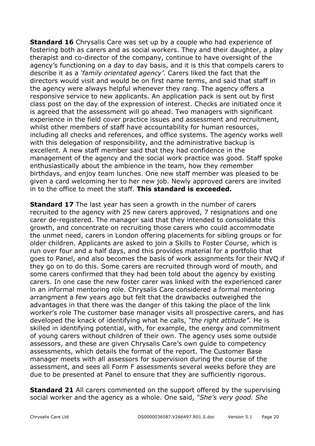**Standard 16** Chrysalis Care was set up by a couple who had experience of fostering both as carers and as social workers. They and their daughter, a play therapist and co-director of the company, continue to have oversight of the agency's functioning on a day to day basis, and it is this that compels carers to describe it as a *'family orientated agency'*. Carers liked the fact that the directors would visit and would be on first name terms, and said that staff in the agency were always helpful whenever they rang. The agency offers a responsive service to new applicants. An application pack is sent out by first class post on the day of the expression of interest. Checks are initiated once it is agreed that the assessment will go ahead. Two managers with significant experience in the field cover practice issues and assessment and recruitment, whilst other members of staff have accountability for human resources, including all checks and references, and office systems. The agency works well with this delegation of responsibility, and the administrative backup is excellent. A new staff member said that they had confidence in the management of the agency and the social work practice was good. Staff spoke enthusiastically about the ambience in the team, how they remember birthdays, and enjoy team lunches. One new staff member was pleased to be given a card welcoming her to her new job. Newly approved carers are invited in to the office to meet the staff. **This standard is exceeded.**

**Standard 17** The last year has seen a growth in the number of carers recruited to the agency with 25 new carers approved, 7 resignations and one carer de-registered. The manager said that they intended to consolidate this growth, and concentrate on recruiting those carers who could accommodate the unmet need, carers in London offering placements for sibling groups or for older children. Applicants are asked to join a Skills to Foster Course, which is run over four and a half days, and this provides material for a portfolio that goes to Panel, and also becomes the basis of work assignments for their NVQ if they go on to do this. Some carers are recruited through word of mouth, and some carers confirmed that they had been told about the agency by existing carers. In one case the new foster carer was linked with the experienced carer in an informal mentoring role. Chrysalis Care considered a formal mentoring arrangment a few years ago but felt that the drawbacks outweighed the advantages in that there was the danger of this taking the place of the link worker's role The customer base manager visits all prospective carers, and has developed the knack of identifying what he calls, *"the right attitude".* He is skilled in identifying potential, with, for example, the energy and commitment of young carers without children of their own. The agency uses some outside assessors, and these are given Chrysalis Care's own guide to competency assessments, which details the format of the report. The Customer Base manager meets with all assessors for supervision during the course of the assessment, and sees all Form F assessments several weeks before they are due to be presented at Panel to ensure that they are sufficiently rigorous.

**Standard 21** All carers commented on the support offered by the supervising social worker and the agency as a whole. One said, *"She's very good. She*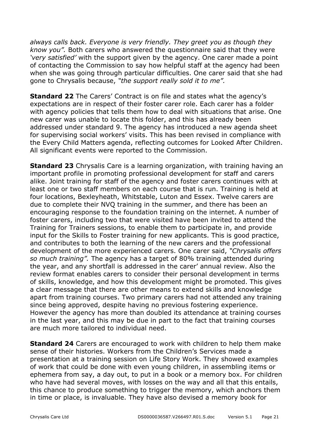*always calls back. Everyone is very friendly. They greet you as though they know you".* Both carers who answered the questionnaire said that they were *'very satisfied'* with the support given by the agency. One carer made a point of contacting the Commission to say how helpful staff at the agency had been when she was going through particular difficulties. One carer said that she had gone to Chrysalis because, *"the support really sold it to me".*

**Standard 22** The Carers' Contract is on file and states what the agency's expectations are in respect of their foster carer role. Each carer has a folder with agency policies that tells them how to deal with situations that arise. One new carer was unable to locate this folder, and this has already been addressed under standard 9. The agency has introduced a new agenda sheet for supervising social workers' visits. This has been revised in compliance with the Every Child Matters agenda, reflecting outcomes for Looked After Children. All significant events were reported to the Commission.

**Standard 23** Chrysalis Care is a learning organization, with training having an important profile in promoting professional development for staff and carers alike. Joint training for staff of the agency and foster carers continues with at least one or two staff members on each course that is run. Training is held at four locations, Bexleyheath, Whitstable, Luton and Essex. Twelve carers are due to complete their NVQ training in the summer, and there has been an encouraging response to the foundation training on the internet. A number of foster carers, including two that were visited have been invited to attend the Training for Trainers sessions, to enable them to participate in, and provide input for the Skills to Foster training for new applicants. This is good practice, and contributes to both the learning of the new carers and the professional development of the more experienced carers. One carer said, *"Chrysalis offers so much training".* The agency has a target of 80% training attended during the year, and any shortfall is addressed in the carer' annual review. Also the review format enables carers to consider their personal development in terms of skills, knowledge, and how this development might be promoted. This gives a clear message that there are other means to extend skills and knowledge apart from training courses. Two primary carers had not attended any training since being approved, despite having no previous fostering experience. However the agency has more than doubled its attendance at training courses in the last year, and this may be due in part to the fact that training courses are much more tailored to individual need.

**Standard 24** Carers are encouraged to work with children to help them make sense of their histories. Workers from the Children's Services made a presentation at a training session on Life Story Work. They showed examples of work that could be done with even young children, in assembling items or ephemera from say, a day out, to put in a book or a memory box. For children who have had several moves, with losses on the way and all that this entails, this chance to produce something to trigger the memory, which anchors them in time or place, is invaluable. They have also devised a memory book for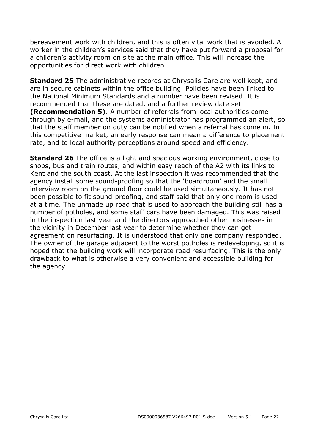bereavement work with children, and this is often vital work that is avoided. A worker in the children's services said that they have put forward a proposal for a children's activity room on site at the main office. This will increase the opportunities for direct work with children.

**Standard 25** The administrative records at Chrysalis Care are well kept, and are in secure cabinets within the office building. Policies have been linked to the National Minimum Standards and a number have been revised. It is recommended that these are dated, and a further review date set **(Recommendation 5)**. A number of referrals from local authorities come through by e-mail, and the systems administrator has programmed an alert, so that the staff member on duty can be notified when a referral has come in. In this competitive market, an early response can mean a difference to placement rate, and to local authority perceptions around speed and efficiency.

**Standard 26** The office is a light and spacious working environment, close to shops, bus and train routes, and within easy reach of the A2 with its links to Kent and the south coast. At the last inspection it was recommended that the agency install some sound-proofing so that the 'boardroom' and the small interview room on the ground floor could be used simultaneously. It has not been possible to fit sound-proofing, and staff said that only one room is used at a time. The unmade up road that is used to approach the building still has a number of potholes, and some staff cars have been damaged. This was raised in the inspection last year and the directors approached other businesses in the vicinity in December last year to determine whether they can get agreement on resurfacing. It is understood that only one company responded. The owner of the garage adjacent to the worst potholes is redeveloping, so it is hoped that the building work will incorporate road resurfacing. This is the only drawback to what is otherwise a very convenient and accessible building for the agency.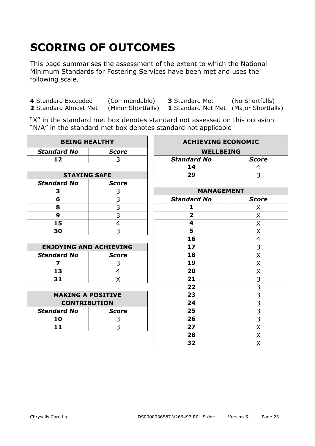# **SCORING OF OUTCOMES**

This page summarises the assessment of the extent to which the National Minimum Standards for Fostering Services have been met and uses the following scale.

**4** Standard Exceeded (Commendable) **3** Standard Met (No Shortfalls) **2** Standard Almost Met (Minor Shortfalls) **1** Standard Not Met (Maior Shortfalls)

**1** Standard Not Met (Major Shortfalls)

"X" in the standard met box denotes standard not assessed on this occasion "N/A" in the standard met box denotes standard not applicable

| <b>BEING HEALTHY</b>          |                | <b>ACHIEVING ECONOMIC</b> |               |
|-------------------------------|----------------|---------------------------|---------------|
| <b>Standard No</b>            | <b>Score</b>   | <b>WELLBEING</b>          |               |
| 12                            | 3              | <b>Standard No</b>        | <b>Score</b>  |
|                               |                | 14                        | 4             |
| <b>STAYING SAFE</b>           |                | 29                        | 3             |
| <b>Standard No</b>            | <b>Score</b>   |                           |               |
| 3                             | 3              | <b>MANAGEMENT</b>         |               |
| 6                             | 3              | <b>Standard No</b>        | <b>Score</b>  |
| 8                             | $\overline{3}$ | 1                         | X             |
| 9                             | $\overline{3}$ | $\overline{\mathbf{2}}$   | X             |
| 15                            | $\overline{4}$ | 4                         | Χ             |
| 30                            | 3              | 5                         | Χ             |
|                               |                | 16                        | 4             |
| <b>ENJOYING AND ACHIEVING</b> |                | 17                        | 3             |
| <b>Standard No</b>            | <b>Score</b>   | 18                        | X             |
| $\overline{\mathbf{z}}$       | 3              | 19                        | X             |
| 13                            | $\overline{4}$ | 20                        | X             |
| 31                            | X              | 21                        |               |
|                               |                | 22                        | $\frac{3}{3}$ |
| <b>MAKING A POSITIVE</b>      |                | 23                        |               |
| <b>CONTRIBUTION</b>           |                | 24                        |               |
| <b>Standard No</b>            | <b>Score</b>   | 25                        | $\frac{3}{3}$ |
| 10                            | 3              | 26                        |               |
| 11                            | 3              | 27                        | X             |
|                               |                | 28                        | X             |
|                               |                | 32                        | X             |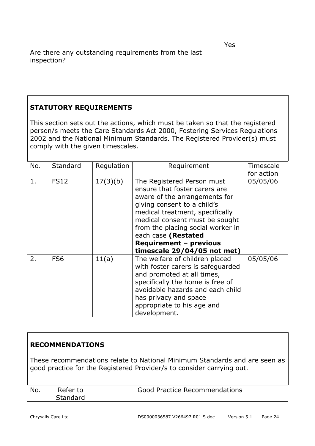#### **STATUTORY REQUIREMENTS**

This section sets out the actions, which must be taken so that the registered person/s meets the Care Standards Act 2000, Fostering Services Regulations 2002 and the National Minimum Standards. The Registered Provider(s) must comply with the given timescales.

| No. | Standard        | Regulation | Requirement                                                                                                                                                                                                                                                                                   | Timescale<br>for action |
|-----|-----------------|------------|-----------------------------------------------------------------------------------------------------------------------------------------------------------------------------------------------------------------------------------------------------------------------------------------------|-------------------------|
| 1.  | <b>FS12</b>     | 17(3)(b)   | The Registered Person must<br>ensure that foster carers are<br>aware of the arrangements for<br>giving consent to a child's<br>medical treatment, specifically<br>medical consent must be sought<br>from the placing social worker in<br>each case (Restated<br><b>Requirement - previous</b> | 05/05/06                |
| 2.  | FS <sub>6</sub> | 11(a)      | timescale 29/04/05 not met)<br>The welfare of children placed<br>with foster carers is safeguarded<br>and promoted at all times,<br>specifically the home is free of<br>avoidable hazards and each child<br>has privacy and space<br>appropriate to his age and<br>development.               | 05/05/06                |

#### **RECOMMENDATIONS**

These recommendations relate to National Minimum Standards and are seen as good practice for the Registered Provider/s to consider carrying out.

| No. | Refer to | <b>Good Practice Recommendations</b> |
|-----|----------|--------------------------------------|
|     | Standard |                                      |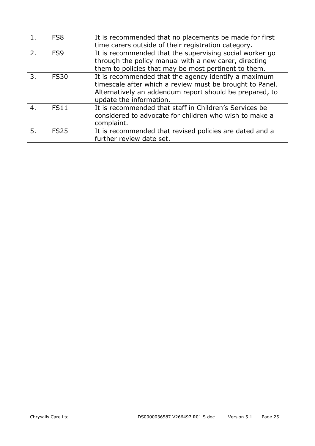|    | FS <sub>8</sub> | It is recommended that no placements be made for first<br>time carers outside of their registration category.                                                                                          |
|----|-----------------|--------------------------------------------------------------------------------------------------------------------------------------------------------------------------------------------------------|
| 2. | FS <sub>9</sub> | It is recommended that the supervising social worker go<br>through the policy manual with a new carer, directing<br>them to policies that may be most pertinent to them.                               |
| 3. | <b>FS30</b>     | It is recommended that the agency identify a maximum<br>timescale after which a review must be brought to Panel.<br>Alternatively an addendum report should be prepared, to<br>update the information. |
| 4. | <b>FS11</b>     | It is recommended that staff in Children's Services be<br>considered to advocate for children who wish to make a<br>complaint.                                                                         |
| 5. | <b>FS25</b>     | It is recommended that revised policies are dated and a<br>further review date set.                                                                                                                    |